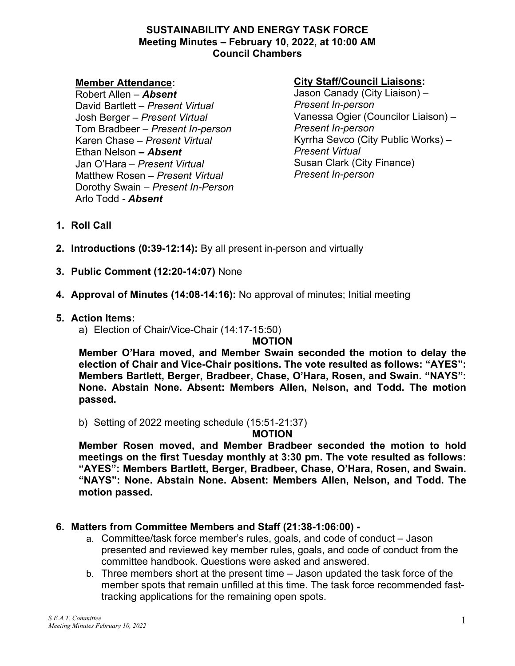#### **SUSTAINABILITY AND ENERGY TASK FORCE Meeting Minutes – February 10, 2022, at 10:00 AM Council Chambers**

#### **Member Attendance:**

Robert Allen *– Absent* David Bartlett *– Present Virtual* Josh Berger *– Present Virtual* Tom Bradbeer *– Present In-person* Karen Chase *– Present Virtual* Ethan Nelson *– Absent* Jan O'Hara *– Present Virtual* Matthew Rosen *– Present Virtual* Dorothy Swain *– Present In-Person* Arlo Todd *- Absent*

## **City Staff/Council Liaisons:**

Jason Canady (City Liaison) – *Present In-person* Vanessa Ogier (Councilor Liaison) – *Present In-person* Kyrrha Sevco (City Public Works) – *Present Virtual* Susan Clark (City Finance) *Present In-person*

- **1. Roll Call**
- **2. Introductions (0:39-12:14):** By all present in-person and virtually
- **3. Public Comment (12:20-14:07)** None
- **4. Approval of Minutes (14:08-14:16):** No approval of minutes; Initial meeting

## **5. Action Items:**

a) Election of Chair/Vice-Chair (14:17-15:50)

# **MOTION**

**Member O'Hara moved, and Member Swain seconded the motion to delay the election of Chair and Vice-Chair positions. The vote resulted as follows: "AYES": Members Bartlett, Berger, Bradbeer, Chase, O'Hara, Rosen, and Swain. "NAYS": None. Abstain None. Absent: Members Allen, Nelson, and Todd. The motion passed.** 

b) Setting of 2022 meeting schedule (15:51-21:37)

**MOTION** 

**Member Rosen moved, and Member Bradbeer seconded the motion to hold meetings on the first Tuesday monthly at 3:30 pm. The vote resulted as follows: "AYES": Members Bartlett, Berger, Bradbeer, Chase, O'Hara, Rosen, and Swain. "NAYS": None. Abstain None. Absent: Members Allen, Nelson, and Todd. The motion passed.** 

# **6. Matters from Committee Members and Staff (21:38-1:06:00) -**

- a. Committee/task force member's rules, goals, and code of conduct Jason presented and reviewed key member rules, goals, and code of conduct from the committee handbook. Questions were asked and answered.
- b. Three members short at the present time Jason updated the task force of the member spots that remain unfilled at this time. The task force recommended fasttracking applications for the remaining open spots.